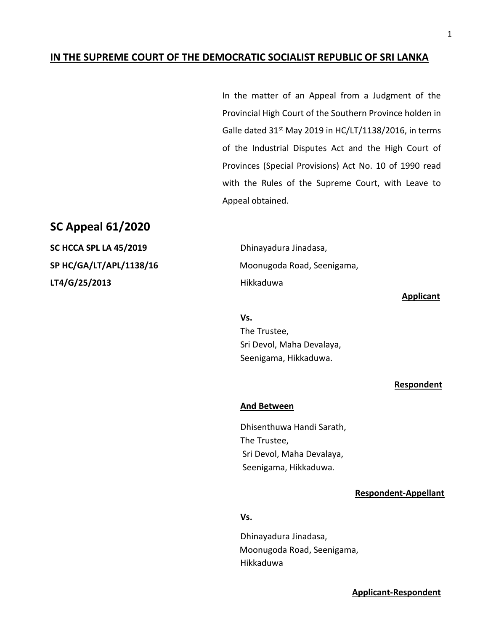## **IN THE SUPREME COURT OF THE DEMOCRATIC SOCIALIST REPUBLIC OF SRI LANKA**

In the matter of an Appeal from a Judgment of the Provincial High Court of the Southern Province holden in Galle dated  $31^{st}$  May 2019 in HC/LT/1138/2016, in terms of the Industrial Disputes Act and the High Court of Provinces (Special Provisions) Act No. 10 of 1990 read with the Rules of the Supreme Court, with Leave to Appeal obtained.

# **SC Appeal 61/2020**

**SC HCCA SPL LA 45/2019** Dhinayadura Jinadasa, **LT4/G/25/2013** Hikkaduwa

**SP HC/GA/LT/APL/1138/16** Moonugoda Road, Seenigama,

**Applicant**

**Vs.**  The Trustee, Sri Devol, Maha Devalaya, Seenigama, Hikkaduwa.

#### **Respondent**

### **And Between**

Dhisenthuwa Handi Sarath, The Trustee, Sri Devol, Maha Devalaya, Seenigama, Hikkaduwa.

### **Respondent-Appellant**

## **Vs.**

Dhinayadura Jinadasa, Moonugoda Road, Seenigama, Hikkaduwa

1

 **Applicant-Respondent**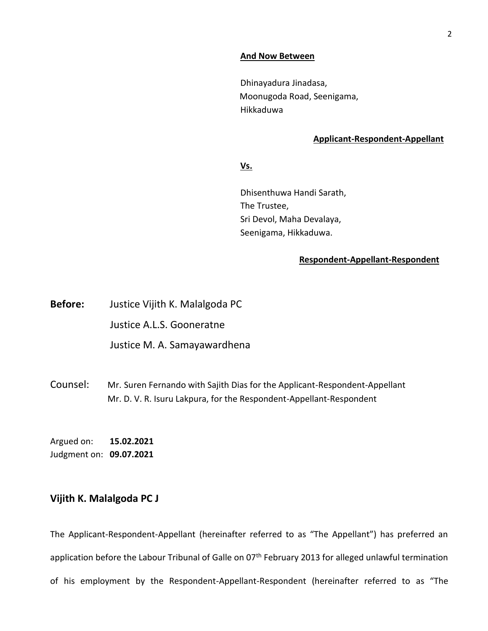#### **And Now Between**

Dhinayadura Jinadasa, Moonugoda Road, Seenigama, Hikkaduwa

### **Applicant-Respondent-Appellant**

**Vs.**

Dhisenthuwa Handi Sarath, The Trustee, Sri Devol, Maha Devalaya, Seenigama, Hikkaduwa.

### **Respondent-Appellant-Respondent**

**Before:** Justice Vijith K. Malalgoda PC Justice A.L.S. Gooneratne Justice M. A. Samayawardhena

Counsel: Mr. Suren Fernando with Sajith Dias for the Applicant-Respondent-Appellant Mr. D. V. R. Isuru Lakpura, for the Respondent-Appellant-Respondent

Argued on: **15.02.2021** Judgment on: **09.07.2021**

# **Vijith K. Malalgoda PC J**

The Applicant-Respondent-Appellant (hereinafter referred to as "The Appellant") has preferred an application before the Labour Tribunal of Galle on 07<sup>th</sup> February 2013 for alleged unlawful termination of his employment by the Respondent-Appellant-Respondent (hereinafter referred to as "The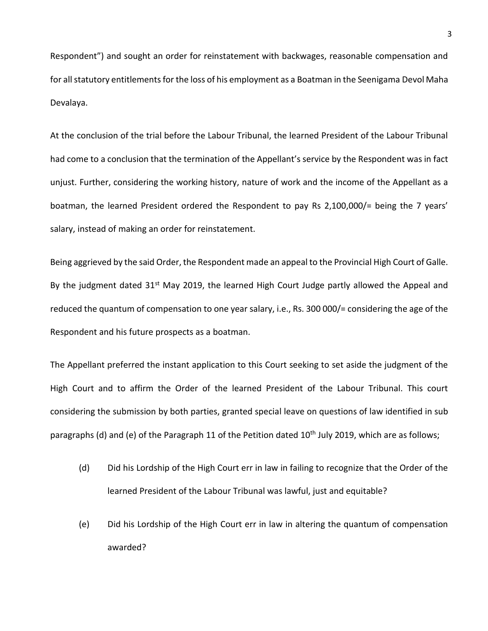Respondent") and sought an order for reinstatement with backwages, reasonable compensation and for all statutory entitlements for the loss of his employment as a Boatman in the Seenigama Devol Maha Devalaya.

At the conclusion of the trial before the Labour Tribunal, the learned President of the Labour Tribunal had come to a conclusion that the termination of the Appellant's service by the Respondent was in fact unjust. Further, considering the working history, nature of work and the income of the Appellant as a boatman, the learned President ordered the Respondent to pay Rs 2,100,000/= being the 7 years' salary, instead of making an order for reinstatement.

Being aggrieved by the said Order, the Respondent made an appeal to the Provincial High Court of Galle. By the judgment dated 31<sup>st</sup> May 2019, the learned High Court Judge partly allowed the Appeal and reduced the quantum of compensation to one year salary, i.e., Rs. 300 000/= considering the age of the Respondent and his future prospects as a boatman.

The Appellant preferred the instant application to this Court seeking to set aside the judgment of the High Court and to affirm the Order of the learned President of the Labour Tribunal. This court considering the submission by both parties, granted special leave on questions of law identified in sub paragraphs (d) and (e) of the Paragraph 11 of the Petition dated  $10<sup>th</sup>$  July 2019, which are as follows;

- (d) Did his Lordship of the High Court err in law in failing to recognize that the Order of the learned President of the Labour Tribunal was lawful, just and equitable?
- (e) Did his Lordship of the High Court err in law in altering the quantum of compensation awarded?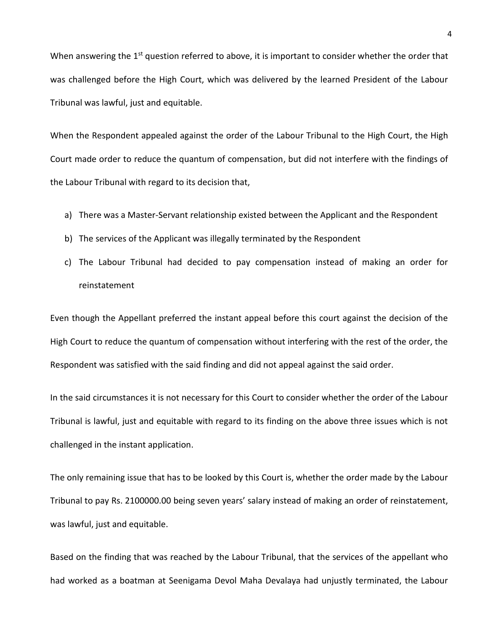When answering the  $1<sup>st</sup>$  question referred to above, it is important to consider whether the order that was challenged before the High Court, which was delivered by the learned President of the Labour Tribunal was lawful, just and equitable.

When the Respondent appealed against the order of the Labour Tribunal to the High Court, the High Court made order to reduce the quantum of compensation, but did not interfere with the findings of the Labour Tribunal with regard to its decision that,

- a) There was a Master-Servant relationship existed between the Applicant and the Respondent
- b) The services of the Applicant was illegally terminated by the Respondent
- c) The Labour Tribunal had decided to pay compensation instead of making an order for reinstatement

Even though the Appellant preferred the instant appeal before this court against the decision of the High Court to reduce the quantum of compensation without interfering with the rest of the order, the Respondent was satisfied with the said finding and did not appeal against the said order.

In the said circumstances it is not necessary for this Court to consider whether the order of the Labour Tribunal is lawful, just and equitable with regard to its finding on the above three issues which is not challenged in the instant application.

The only remaining issue that has to be looked by this Court is, whether the order made by the Labour Tribunal to pay Rs. 2100000.00 being seven years' salary instead of making an order of reinstatement, was lawful, just and equitable.

Based on the finding that was reached by the Labour Tribunal, that the services of the appellant who had worked as a boatman at Seenigama Devol Maha Devalaya had unjustly terminated, the Labour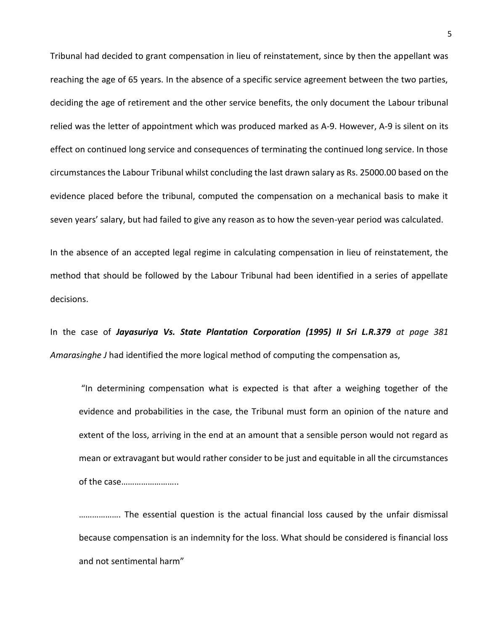Tribunal had decided to grant compensation in lieu of reinstatement, since by then the appellant was reaching the age of 65 years. In the absence of a specific service agreement between the two parties, deciding the age of retirement and the other service benefits, the only document the Labour tribunal relied was the letter of appointment which was produced marked as A-9. However, A-9 is silent on its effect on continued long service and consequences of terminating the continued long service. In those circumstances the Labour Tribunal whilst concluding the last drawn salary as Rs. 25000.00 based on the evidence placed before the tribunal, computed the compensation on a mechanical basis to make it seven years' salary, but had failed to give any reason as to how the seven-year period was calculated.

In the absence of an accepted legal regime in calculating compensation in lieu of reinstatement, the method that should be followed by the Labour Tribunal had been identified in a series of appellate decisions.

In the case of *Jayasuriya Vs. State Plantation Corporation (1995) II Sri L.R.379 at page 381 Amarasinghe J* had identified the more logical method of computing the compensation as,

"In determining compensation what is expected is that after a weighing together of the evidence and probabilities in the case, the Tribunal must form an opinion of the nature and extent of the loss, arriving in the end at an amount that a sensible person would not regard as mean or extravagant but would rather consider to be just and equitable in all the circumstances of the case……………………..

………………. The essential question is the actual financial loss caused by the unfair dismissal because compensation is an indemnity for the loss. What should be considered is financial loss and not sentimental harm"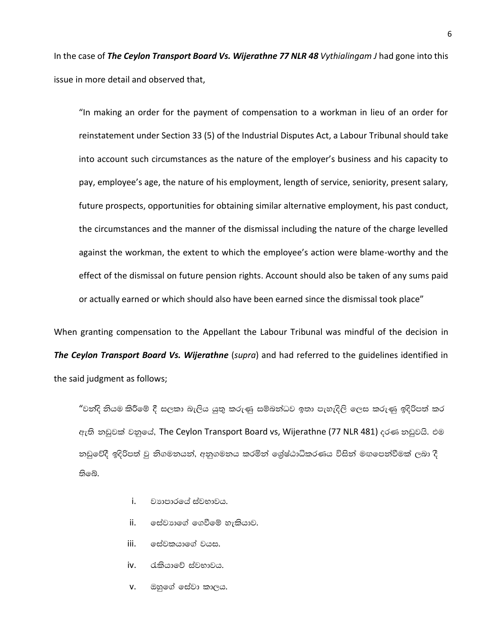In the case of *The Ceylon Transport Board Vs. Wijerathne 77 NLR 48 Vythialingam J* had gone into this issue in more detail and observed that,

"In making an order for the payment of compensation to a workman in lieu of an order for reinstatement under Section 33 (5) of the Industrial Disputes Act, a Labour Tribunal should take into account such circumstances as the nature of the employer's business and his capacity to pay, employee's age, the nature of his employment, length of service, seniority, present salary, future prospects, opportunities for obtaining similar alternative employment, his past conduct, the circumstances and the manner of the dismissal including the nature of the charge levelled against the workman, the extent to which the employee's action were blame-worthy and the effect of the dismissal on future pension rights. Account should also be taken of any sums paid or actually earned or which should also have been earned since the dismissal took place"

When granting compensation to the Appellant the Labour Tribunal was mindful of the decision in *The Ceylon Transport Board Vs. Wijerathne* (*supra*) and had referred to the guidelines identified in the said judgment as follows;

"වත්දි නියම කිරීමේ දී සලකා බැලිය යුතු කරුණු සම්බන්ධව ඉතා පැහැදිලි ලෙස කරුණු ඉදිරිපත් කර ඇති නඩුවක් වනුයේ, The Ceylon Transport Board vs, Wijerathne (77 NLR 481) දරණ නඩුවයි. එම නඩුවේදී ඉදිරිපත් වු නිගමනයන්, අනුගමනය කරමින් ශේෂ්ඨාධිකරණය විසින් මඟපෙන්වීමක් ලබා දී තිබේ.

- $i$ . වාහාපාරයේ ස්වභාවය.
- $ii.$  ලස්වාාගේ ගෙවීමේ හැකියාව.
- iii. ලස්වකයාගේ වයස.
- $iv.$  රැකියාවේ ස්වභාවය.
- $v.$  ඔහුගේ සේවා කාලය.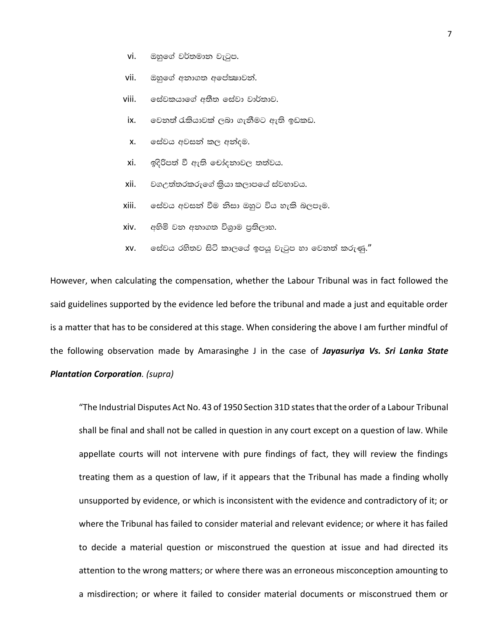- $vi.$  ඔහුගේ වර්තමාන වැටුප.
- vii. ඔහුගේ අනාගත අපේකෂාවන්.
- viii. ලස්වකයාගේ අතීත සේවා වාර්තාව.
- $ix.$  ලවනත් රැකියාවක් ලබා ගැනීමට ඇති ඉඩකඩ.
- $x$ .  $\circ$ ස්වය අවසන් කල අන්දම.
- $xi$ . ඉදිරිපත් වී ඇති චෝදනාවල තත්වය.
- xii. වගඋත්තරකරුගේ කියා කලාපයේ ස්වභාවය.
- xiii. ෙසේවය අවසන් වීම නිසා ඔහුට විය හැකි බලපෑම.
- $xiv.$  අහිමි වන අනාගත විශාම පුතිලාභ.
- $xv$ .  $\circ$ ස්වය රහිතව සිටි කාලයේ ඉපයු වැටුප හා වෙනත් කරුණු. $''$

However, when calculating the compensation, whether the Labour Tribunal was in fact followed the said guidelines supported by the evidence led before the tribunal and made a just and equitable order is a matter that has to be considered at this stage. When considering the above I am further mindful of the following observation made by Amarasinghe J in the case of *Jayasuriya Vs. Sri Lanka State Plantation Corporation. (supra)* 

"The Industrial Disputes Act No. 43 of 1950 Section 31D states that the order of a Labour Tribunal shall be final and shall not be called in question in any court except on a question of law. While appellate courts will not intervene with pure findings of fact, they will review the findings treating them as a question of law, if it appears that the Tribunal has made a finding wholly unsupported by evidence, or which is inconsistent with the evidence and contradictory of it; or where the Tribunal has failed to consider material and relevant evidence; or where it has failed to decide a material question or misconstrued the question at issue and had directed its attention to the wrong matters; or where there was an erroneous misconception amounting to a misdirection; or where it failed to consider material documents or misconstrued them or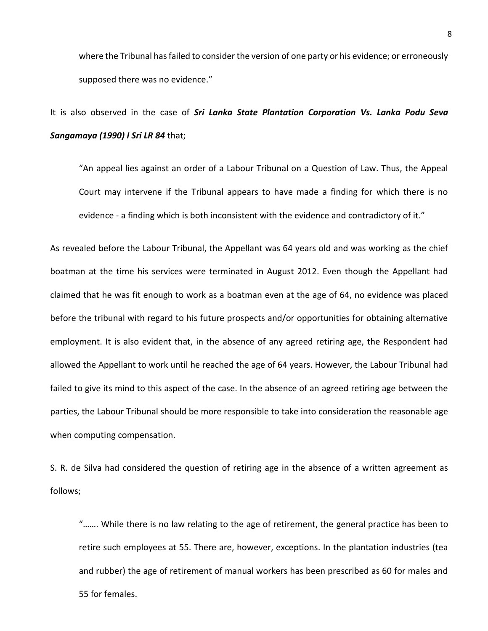where the Tribunal has failed to consider the version of one party or his evidence; or erroneously supposed there was no evidence."

It is also observed in the case of *Sri Lanka State Plantation Corporation Vs. Lanka Podu Seva Sangamaya (1990) I Sri LR 84* that;

"An appeal lies against an order of a Labour Tribunal on a Question of Law. Thus, the Appeal Court may intervene if the Tribunal appears to have made a finding for which there is no evidence - a finding which is both inconsistent with the evidence and contradictory of it."

As revealed before the Labour Tribunal, the Appellant was 64 years old and was working as the chief boatman at the time his services were terminated in August 2012. Even though the Appellant had claimed that he was fit enough to work as a boatman even at the age of 64, no evidence was placed before the tribunal with regard to his future prospects and/or opportunities for obtaining alternative employment. It is also evident that, in the absence of any agreed retiring age, the Respondent had allowed the Appellant to work until he reached the age of 64 years. However, the Labour Tribunal had failed to give its mind to this aspect of the case. In the absence of an agreed retiring age between the parties, the Labour Tribunal should be more responsible to take into consideration the reasonable age when computing compensation.

S. R. de Silva had considered the question of retiring age in the absence of a written agreement as follows;

"……. While there is no law relating to the age of retirement, the general practice has been to retire such employees at 55. There are, however, exceptions. In the plantation industries (tea and rubber) the age of retirement of manual workers has been prescribed as 60 for males and 55 for females.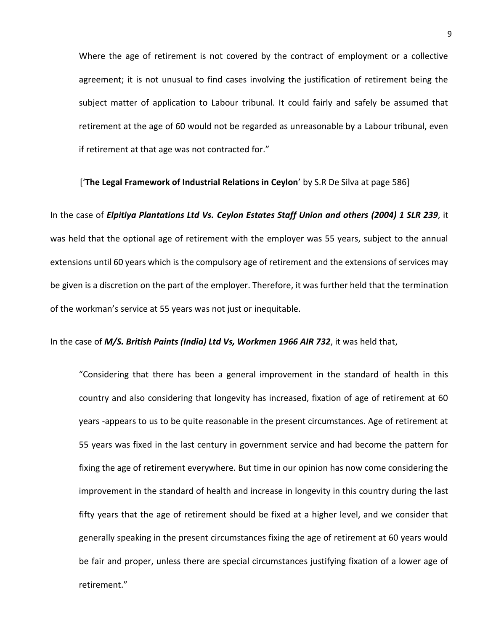Where the age of retirement is not covered by the contract of employment or a collective agreement; it is not unusual to find cases involving the justification of retirement being the subject matter of application to Labour tribunal. It could fairly and safely be assumed that retirement at the age of 60 would not be regarded as unreasonable by a Labour tribunal, even if retirement at that age was not contracted for."

['**The Legal Framework of Industrial Relations in Ceylon**' by S.R De Silva at page 586]

In the case of *Elpitiya Plantations Ltd Vs. Ceylon Estates Staff Union and others (2004) 1 SLR 239*, it was held that the optional age of retirement with the employer was 55 years, subject to the annual extensions until 60 years which is the compulsory age of retirement and the extensions of services may be given is a discretion on the part of the employer. Therefore, it was further held that the termination of the workman's service at 55 years was not just or inequitable.

In the case of *M/S. British Paints (India) Ltd Vs, Workmen 1966 AIR 732*, it was held that,

"Considering that there has been a general improvement in the standard of health in this country and also considering that longevity has increased, fixation of age of retirement at 60 years -appears to us to be quite reasonable in the present circumstances. Age of retirement at 55 years was fixed in the last century in government service and had become the pattern for fixing the age of retirement everywhere. But time in our opinion has now come considering the improvement in the standard of health and increase in longevity in this country during the last fifty years that the age of retirement should be fixed at a higher level, and we consider that generally speaking in the present circumstances fixing the age of retirement at 60 years would be fair and proper, unless there are special circumstances justifying fixation of a lower age of retirement."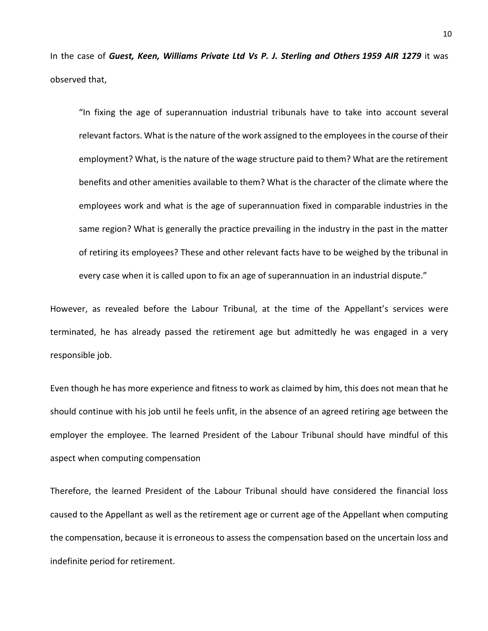In the case of *Guest, Keen, Williams Private Ltd Vs P. J. Sterling and Others 1959 AIR 1279* it was observed that,

"In fixing the age of superannuation industrial tribunals have to take into account several relevant factors. What is the nature of the work assigned to the employees in the course of their employment? What, is the nature of the wage structure paid to them? What are the retirement benefits and other amenities available to them? What is the character of the climate where the employees work and what is the age of superannuation fixed in comparable industries in the same region? What is generally the practice prevailing in the industry in the past in the matter of retiring its employees? These and other relevant facts have to be weighed by the tribunal in every case when it is called upon to fix an age of superannuation in an industrial dispute."

However, as revealed before the Labour Tribunal, at the time of the Appellant's services were terminated, he has already passed the retirement age but admittedly he was engaged in a very responsible job.

Even though he has more experience and fitness to work as claimed by him, this does not mean that he should continue with his job until he feels unfit, in the absence of an agreed retiring age between the employer the employee. The learned President of the Labour Tribunal should have mindful of this aspect when computing compensation

Therefore, the learned President of the Labour Tribunal should have considered the financial loss caused to the Appellant as well as the retirement age or current age of the Appellant when computing the compensation, because it is erroneous to assess the compensation based on the uncertain loss and indefinite period for retirement.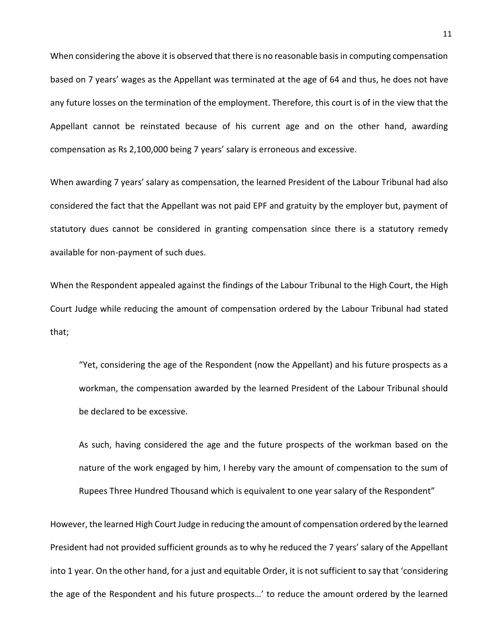When considering the above it is observed that there is no reasonable basis in computing compensation based on 7 years' wages as the Appellant was terminated at the age of 64 and thus, he does not have any future losses on the termination of the employment. Therefore, this court is of in the view that the Appellant cannot be reinstated because of his current age and on the other hand, awarding compensation as Rs 2,100,000 being 7 years' salary is erroneous and excessive.

When awarding 7 years' salary as compensation, the learned President of the Labour Tribunal had also considered the fact that the Appellant was not paid EPF and gratuity by the employer but, payment of statutory dues cannot be considered in granting compensation since there is a statutory remedy available for non-payment of such dues.

When the Respondent appealed against the findings of the Labour Tribunal to the High Court, the High Court Judge while reducing the amount of compensation ordered by the Labour Tribunal had stated that;

"Yet, considering the age of the Respondent (now the Appellant) and his future prospects as a workman, the compensation awarded by the learned President of the Labour Tribunal should be declared to be excessive.

As such, having considered the age and the future prospects of the workman based on the nature of the work engaged by him, I hereby vary the amount of compensation to the sum of Rupees Three Hundred Thousand which is equivalent to one year salary of the Respondent"

However, the learned High Court Judge in reducing the amount of compensation ordered by the learned President had not provided sufficient grounds as to why he reduced the 7 years' salary of the Appellant into 1 year. On the other hand, for a just and equitable Order, it is not sufficient to say that 'considering the age of the Respondent and his future prospects…' to reduce the amount ordered by the learned